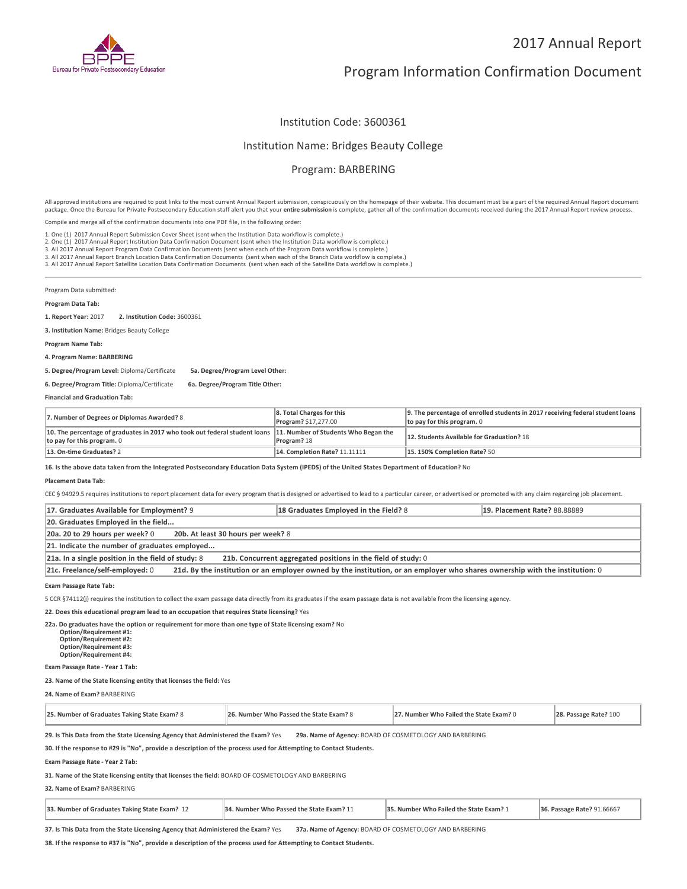

# Program Information Confirmation Document

## Institution Code: 3600361

### Institution Name: Bridges Beauty College

# Program: BARBERING

All approved institutions are required to post links to the most current Annual Report submission, conspicuously on the homepage of their website. This document must be a part of the required Annual Report document package. Once the Bureau for Private Postsecondary Education staff alert you that your **entire submission** is complete, gather all of the confirmation documents received during the 2017 Annual Report review process.

Compile and merge all of the confirmation documents into one PDF file, in the following order:

1. One (1) 2017 Annual Report Submission Cover Sheet (sent when the Institution Data workflow is complete.)

1. One (1) 2017 Annual Report Submission Cover Sheet (sent when the Institution Data workflow is complete.)<br>2. One (1) 2017 Annual Report Institution Data Confirmation Document (sent when the Institution Data workflow is c

3. All 2017 Annual Report Branch Location Data Confirmation Documents (sent when each of the Branch Data workflow is complete.)

3. All 2017 Annual Report Satellite Location Data Confirmation Documents (sent when each of the Satellite Data workflow is complete.)

Program Data submitted:

#### **Program Data Tab:**

**1. Report Year:** 2017 **2. Institution Code:** <sup>3600361</sup>

**3. Institution Name:** Bridges Beauty College

**Program Name Tab:**

**4. Program Name: BARBERING**

**5. Degree/Program Level:** Diploma/Certificate **5a. Degree/Program Level Other:**

**6. Degree/Program Title:** Diploma/Certificate **6a. Degree/Program Title Other:**

**Financial and Graduation Tab:**

| 7. Number of Degrees or Diplomas Awarded? 8                                                                                                   | 8. Total Charges for this<br>Program? \$17,277.00 | 9. The percentage of enrolled students in 2017 receiving federal student loans<br>to pay for this program. $0$ |
|-----------------------------------------------------------------------------------------------------------------------------------------------|---------------------------------------------------|----------------------------------------------------------------------------------------------------------------|
| 10. The percentage of graduates in 2017 who took out federal student loans 11. Number of Students Who Began the<br>to pay for this program. 0 | Program? 18                                       | 12. Students Available for Graduation? 18                                                                      |
| 13. On-time Graduates? 2                                                                                                                      | <b>14. Completion Rate? 11.11111</b>              | 15.150% Completion Rate? 50                                                                                    |

**16. Is the above data taken from the Integrated Postsecondary Education Data System (IPEDS) of the United States Department of Education?** No

#### **Placement Data Tab:**

CEC § 94929.5 requires institutions to report placement data for every program that is designed or advertised to lead to a particular career, or advertised or promoted with any claim regarding job placement.

| 17. Graduates Available for Employment? 9                                                                                                                       | 18 Graduates Employed in the Field? 8 | <b>19. Placement Rate? 88.88889</b> |  |  |
|-----------------------------------------------------------------------------------------------------------------------------------------------------------------|---------------------------------------|-------------------------------------|--|--|
| 20. Graduates Employed in the field                                                                                                                             |                                       |                                     |  |  |
| 20a. 20 to 29 hours per week? 0<br>20b. At least 30 hours per week? 8                                                                                           |                                       |                                     |  |  |
| 21. Indicate the number of graduates employed                                                                                                                   |                                       |                                     |  |  |
| 21a. In a single position in the field of study: 8<br>21b. Concurrent aggregated positions in the field of study: 0                                             |                                       |                                     |  |  |
| 21d. By the institution or an employer owned by the institution, or an employer who shares ownership with the institution: 0<br>21c. Freelance/self-employed: 0 |                                       |                                     |  |  |

**Exam Passage Rate Tab:**

5 CCR §74112(j) requires the institution to collect the exam passage data directly from its graduates if the exam passage data is not available from the licensing agency.

**22. Does this educational program lead to an occupation that requires State licensing?** Yes

**22a. Do graduates have the option or requirement for more than one type of State licensing exam?** No **Option/Requirement #1: Option/Requirement #2: Option/Requirement #3: Option/Requirement #4:**

**Exam Passage Rate - Year 1 Tab:**

**23. Name of the State licensing entity that licenses the field:** Yes

**24. Name of Exam?** BARBERING

| 25. Number of Graduates Taking State Exam? 8 | 26. Number Who Passed the State Exam? 8 | 27. Number Who Failed the State Exam? 0 | 28. Passage Rate? 100 |
|----------------------------------------------|-----------------------------------------|-----------------------------------------|-----------------------|
|----------------------------------------------|-----------------------------------------|-----------------------------------------|-----------------------|

**29. Is This Data from the State Licensing Agency that Administered the Exam?** Yes **29a. Name of Agency:** BOARD OF COSMETOLOGY AND BARBERING

**30. If the response to #29 is "No", provide a description of the process used for Attempting to Contact Students.**

**Exam Passage Rate - Year 2 Tab:**

**31. Name of the State licensing entity that licenses the field:** BOARD OF COSMETOLOGY AND BARBERING

**32. Name of Exam?** BARBERING

| 33. Number of Graduates Taking State Exam? 12<br>34. Number Who Passed the State Exam? 11 | 35. Number Who Failed the State Exam? 1 | 36. Passage Rate? 91.66667 |
|-------------------------------------------------------------------------------------------|-----------------------------------------|----------------------------|
|-------------------------------------------------------------------------------------------|-----------------------------------------|----------------------------|

**37. Is This Data from the State Licensing Agency that Administered the Exam?** Yes **37a. Name of Agency:** BOARD OF COSMETOLOGY AND BARBERING

**38. If the response to #37 is "No", provide a description of the process used for Attempting to Contact Students.**